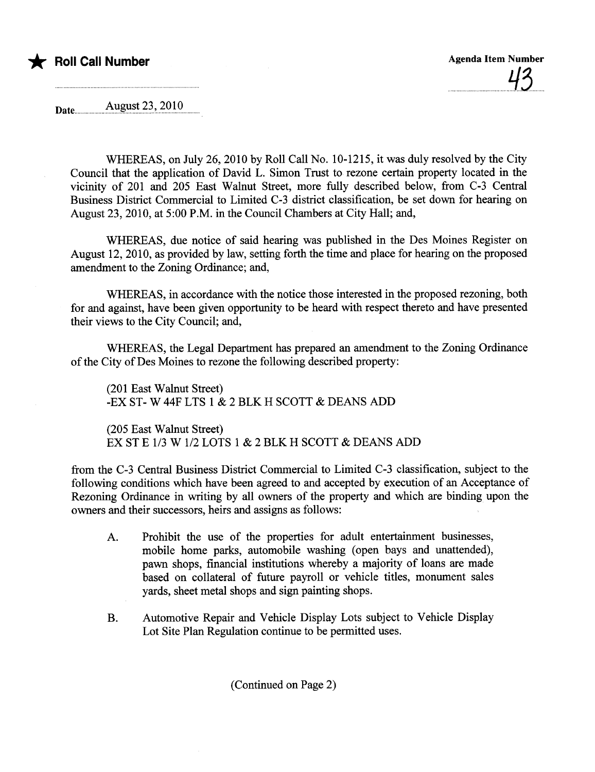

Date. August 23, 201.Q.uuuuu

WHEREAS, on July 26,2010 by Roll Call No. 10-1215, it was duly resolved by the City Council that the application of David L. Simon Trust to rezone certin property located in the vicinity of 201 and 205 East Walnut Street, more fully described below, from C-3 Central Business District Commercial to Limited C-3 district classification, be set down for hearing on August 23,2010, at 5:00 P.M. in the Council Chambers at City Hall; and,

WHEREAS, due notice of said hearing was published in the Des Moines Register on August 12, 2010, as provided by law, setting forth the time and place for hearing on the proposed amendment to the Zoning Ordinance; and,

WHEREAS, in accordance with the notice those interested in the proposed rezoning, both for and against, have been given opportunity to be heard with respect thereto and have presented their views to the City Council; and,

WHEREAS, the Legal Department has prepared an amendment to the Zoning Ordinance of the City of Des Moines to rezone the following described property:

(201 East Walnut Street) -EX ST-W 44F LTS 1 & 2 BLK H SCOTT & DEANS ADD

(205 East Walnut Street) EX ST E 1/3 W 1/2 LOTS 1 & 2 BLK H SCOTT & DEANS ADD

from the C-3 Central Business District Commercial to Limited C-3 classification, subject to the following conditions which have been agreed to and accepted by execution of an Acceptance of Rezoning Ordinance in wrting by all owners of the property and which are binding upon the owners and their successors, heirs and assigns as follows:

- A. Prohibit the use of the properties for adult entertainment businesses, mobile home parks, automobile washing (open bays and unattended), pawn shops, financial institutions whereby a majority of loans are made based on collateral of future payroll or vehicle titles, monument sales yards, sheet metal shops and sign painting shops.
- B. Automotive Repair and Vehicle Display Lots subject to Vehicle Display Lot Site Plan Regulation continue to be permitted uses.

(Continued on Page 2)